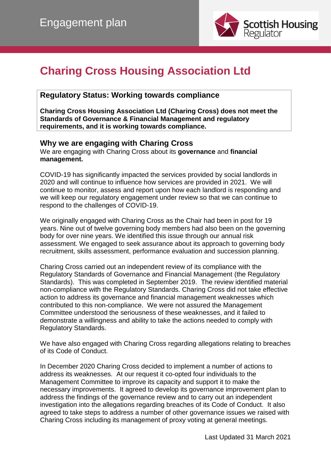

# **Charing Cross Housing Association Ltd**

# **Regulatory Status: Working towards compliance**

**Charing Cross Housing Association Ltd (Charing Cross) does not meet the Standards of Governance & Financial Management and regulatory requirements, and it is working towards compliance.**

# **Why we are engaging with Charing Cross**

We are engaging with Charing Cross about its **governance** and **financial management.**

COVID-19 has significantly impacted the services provided by social landlords in 2020 and will continue to influence how services are provided in 2021. We will continue to monitor, assess and report upon how each landlord is responding and we will keep our regulatory engagement under review so that we can continue to respond to the challenges of COVID-19.

We originally engaged with Charing Cross as the Chair had been in post for 19 years. Nine out of twelve governing body members had also been on the governing body for over nine years. We identified this issue through our annual risk assessment. We engaged to seek assurance about its approach to governing body recruitment, skills assessment, performance evaluation and succession planning.

Charing Cross carried out an independent review of its compliance with the Regulatory Standards of Governance and Financial Management (the Regulatory Standards). This was completed in September 2019. The review identified material non-compliance with the Regulatory Standards. Charing Cross did not take effective action to address its governance and financial management weaknesses which contributed to this non-compliance. We were not assured the Management Committee understood the seriousness of these weaknesses, and it failed to demonstrate a willingness and ability to take the actions needed to comply with Regulatory Standards.

We have also engaged with Charing Cross regarding allegations relating to breaches of its Code of Conduct.

In December 2020 Charing Cross decided to implement a number of actions to address its weaknesses. At our request it co-opted four individuals to the Management Committee to improve its capacity and support it to make the necessary improvements. It agreed to develop its governance improvement plan to address the findings of the governance review and to carry out an independent investigation into the allegations regarding breaches of its Code of Conduct. It also agreed to take steps to address a number of other governance issues we raised with Charing Cross including its management of proxy voting at general meetings.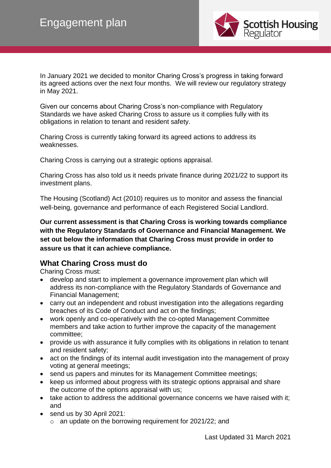

In January 2021 we decided to monitor Charing Cross's progress in taking forward its agreed actions over the next four months. We will review our regulatory strategy in May 2021.

Given our concerns about Charing Cross's non-compliance with Regulatory Standards we have asked Charing Cross to assure us it complies fully with its obligations in relation to tenant and resident safety.

Charing Cross is currently taking forward its agreed actions to address its weaknesses.

Charing Cross is carrying out a strategic options appraisal.

Charing Cross has also told us it needs private finance during 2021/22 to support its investment plans.

The Housing (Scotland) Act (2010) requires us to monitor and assess the financial well-being, governance and performance of each Registered Social Landlord.

**Our current assessment is that Charing Cross is working towards compliance with the Regulatory Standards of Governance and Financial Management. We set out below the information that Charing Cross must provide in order to assure us that it can achieve compliance.**

#### **What Charing Cross must do**

Charing Cross must:

- develop and start to implement a governance improvement plan which will address its non-compliance with the Regulatory Standards of Governance and Financial Management;
- carry out an independent and robust investigation into the allegations regarding breaches of its Code of Conduct and act on the findings;
- work openly and co-operatively with the co-opted Management Committee members and take action to further improve the capacity of the management committee;
- provide us with assurance it fully complies with its obligations in relation to tenant and resident safety;
- act on the findings of its internal audit investigation into the management of proxy voting at general meetings;
- send us papers and minutes for its Management Committee meetings;
- keep us informed about progress with its strategic options appraisal and share the outcome of the options appraisal with us;
- take action to address the additional governance concerns we have raised with it; and
- send us by 30 April 2021:
	- o an update on the borrowing requirement for 2021/22; and